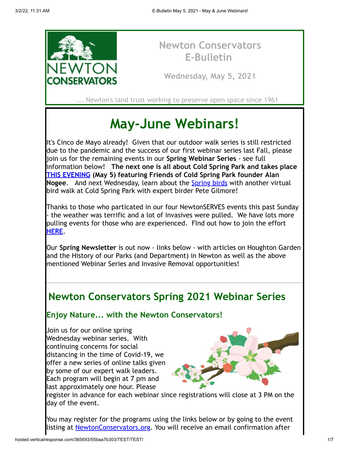

## **Newton Conservators E-Bulletin**

**Wednesday, May 5, 2021**

... Newton's land trust working to preserve open space since 1961

# **May-June Webinars!**

It's Cinco de Mayo already! Given that our outdoor walk series is still restricted due to the pandemic and the success of our first webinar series last Fall, please join us for the remaining events in our **Spring Webinar Series** - see full information below! **The next one is all about Cold Spring Park and takes place [THIS EVENING](https://newtonconservators.org/events/cold-spring-park-problems-progress-and-possibilities/) (May 5) featuring Friends of Cold Spring Park founder Alan Nogee.** And next Wednesday, learn about the **Spring birds** with another virtual bird walk at Cold Spring Park with expert birder Pete Gilmore!

Thanks to those who particated in our four NewtonSERVES events this past Sunday - the weather was terrific and a lot of invasives were pulled. We have lots more pulling events for those who are experienced. FInd out how to join the effort **[HERE](https://newtonconservators.org/wp-content/uploads/2021/03/Newsletter-2021-Spring-Invasives.pdf)**.

Our **Spring Newsletter** is out now - links below - with articles on Houghton Garden and the History of our Parks (and Department) in Newton as well as the above mentioned Webinar Series and Invasive Removal opportunities!

# **Newton Conservators Spring 2021 Webinar Series**

### **Enjoy Nature... with the Newton Conservators!**

Join us for our online spring Wednesday webinar series. With continuing concerns for social distancing in the time of Covid-19, we offer a new series of online talks given by some of our expert walk leaders. Each program will begin at 7 pm and last approximately one hour. Please



register in advance for each webinar since registrations will close at 3 PM on the day of the event.

You may register for the programs using the links below or by going to the event listing at **NewtonConservators.org.** You will receive an email confirmation after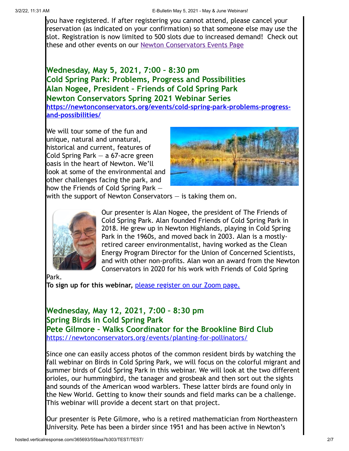you have registered. If after registering you cannot attend, please cancel your reservation (as indicated on your confirmation) so that someone else may use the slot. Registration is now limited to 500 slots due to increased demand! Check out these and other events on our [Newton Conservators Events Page](https://newtonconservators.org/events/)

**Wednesday, May 5, 2021, 7:00 – 8:30 pm Cold Spring Park: Problems, Progress and Possibilities Alan Nogee, President – Friends of Cold Spring Park Newton Conservators Spring 2021 Webinar Series [https://newtonconservators.org/events/cold-spring-park-problems-progress](https://newtonconservators.org/events/cold-spring-park-problems-progress-and-possibilities/)and-possibilities/**

We will tour some of the fun and unique, natural and unnatural, historical and current, features of Cold Spring Park — a 67-acre green oasis in the heart of Newton. We'll look at some of the environmental and other challenges facing the park, and how the Friends of Cold Spring Park —



with the support of Newton Conservators  $-$  is taking them on.



Our presenter is Alan Nogee, the president of The Friends of Cold Spring Park. Alan founded Friends of Cold Spring Park in 2018. He grew up in Newton Highlands, playing in Cold Spring Park in the 1960s, and moved back in 2003. Alan is a mostlyretired career environmentalist, having worked as the Clean Energy Program Director for the Union of Concerned Scientists, and with other non-profits. Alan won an award from the Newton Conservators in 2020 for his work with Friends of Cold Spring

Park.

**To sign up for this webinar,** [please register on our Zoom page.](https://us02web.zoom.us/webinar/register/WN_aSPuXYZOQdyOA33jaYig6A)

#### **Wednesday, May 12, 2021, 7:00 – 8:30 pm Spring Birds in Cold Spring Park Pete Gilmore – Walks Coordinator for the Brookline Bird Club** <https://newtonconservators.org/events/planting-for-pollinators/>

Since one can easily access photos of the common resident birds by watching the fall webinar on Birds in Cold Spring Park, we will focus on the colorful migrant and summer birds of Cold Spring Park in this webinar. We will look at the two different orioles, our hummingbird, the tanager and grosbeak and then sort out the sights and sounds of the American wood warblers. These latter birds are found only in the New World. Getting to know their sounds and field marks can be a challenge. This webinar will provide a decent start on that project.

Our presenter is Pete Gilmore, who is a retired mathematician from Northeastern University. Pete has been a birder since 1951 and has been active in Newton's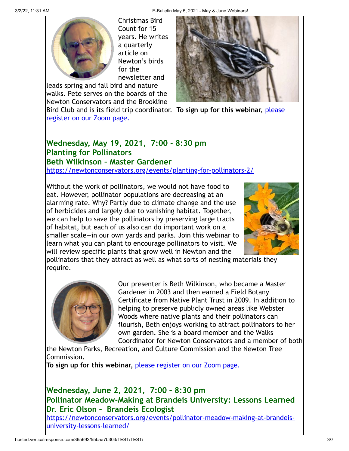3/2/22, 11:31 AM E-Bulletin May 5, 2021 - May & June Webinars!



Christmas Bird Count for 15 years. He writes a quarterly article on Newton's birds for the newsletter and

leads spring and fall bird and nature walks. Pete serves on the boards of the Newton Conservators and the Brookline



[Bird Club and is its field trip coordinator.](https://us02web.zoom.us/webinar/register/WN_8aKXoZA5SMSwjPDbxttOTg) **To sign up for this webinar,** please

register on our Zoom page.

#### **Wednesday, May 19, 2021, 7:00 - 8:30 pm Planting for Pollinators Beth Wilkinson – Master Gardener**

<https://newtonconservators.org/events/planting-for-pollinators-2/>

Without the work of pollinators, we would not have food to eat. However, pollinator populations are decreasing at an alarming rate. Why? Partly due to climate change and the use of herbicides and largely due to vanishing habitat. Together, we can help to save the pollinators by preserving large tracts of habitat, but each of us also can do important work on a smaller scale—in our own yards and parks. Join this webinar to learn what you can plant to encourage pollinators to visit. We will review specific plants that grow well in Newton and the



pollinators that they attract as well as what sorts of nesting materials they require.



Our presenter is Beth Wilkinson, who became a Master Gardener in 2003 and then earned a Field Botany Certificate from Native Plant Trust in 2009. In addition to helping to preserve publicly owned areas like Webster Woods where native plants and their pollinators can flourish, Beth enjoys working to attract pollinators to her own garden. She is a board member and the Walks Coordinator for Newton Conservators and a member of both

the Newton Parks, Recreation, and Culture Commission and the Newton Tree Commission.

**To sign up for this webinar,** [please register on our Zoom page.](https://us02web.zoom.us/webinar/register/WN_90Fe8z4tRwSiBJGcRn9T4A)

## **Wednesday, June 2, 2021, 7:00 – 8:30 pm Pollinator Meadow-Making at Brandeis University: Lessons Learned Dr. Eric Olson – Brandeis Ecologist**

[https://newtonconservators.org/events/pollinator-meadow-making-at-brandeis](https://newtonconservators.org/events/pollinator-meadow-making-at-brandeis-university-lessons-learned/)university-lessons-learned/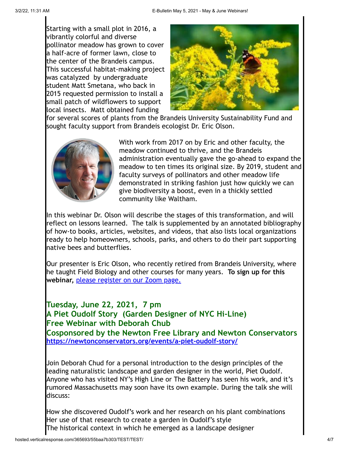Starting with a small plot in 2016, a vibrantly colorful and diverse pollinator meadow has grown to cover a half-acre of former lawn, close to the center of the Brandeis campus. This successful habitat-making project was catalyzed by undergraduate student Matt Smetana, who back in 2015 requested permission to install a small patch of wildflowers to support local insects. Matt obtained funding



for several scores of plants from the Brandeis University Sustainability Fund and sought faculty support from Brandeis ecologist Dr. Eric Olson.



With work from 2017 on by Eric and other faculty, the meadow continued to thrive, and the Brandeis administration eventually gave the go-ahead to expand the meadow to ten times its original size. By 2019, student and faculty surveys of pollinators and other meadow life demonstrated in striking fashion just how quickly we can give biodiversity a boost, even in a thickly settled community like Waltham.

In this webinar Dr. Olson will describe the stages of this transformation, and will reflect on lessons learned. The talk is supplemented by an annotated bibliography of how-to books, articles, websites, and videos, that also lists local organizations ready to help homeowners, schools, parks, and others to do their part supporting native bees and butterflies.

Our presenter is Eric Olson, who recently retired from Brandeis University, where he taught Field Biology and other courses for many years. **To sign up for this webinar,** [please register on our Zoom page.](https://us02web.zoom.us/webinar/register/WN_dbz-siSCRVu2gOavgZq9jA)

**Tuesday, June 22, 2021, 7 pm A Piet Oudolf Story (Garden Designer of NYC Hi-Line) Free Webinar with Deborah Chub Cosponsored by the Newton Free Library and Newton Conservators <https://newtonconservators.org/events/a-piet-oudolf-story/>**

Join Deborah Chud for a personal introduction to the design principles of the leading naturalistic landscape and garden designer in the world, Piet Oudolf. Anyone who has visited NY's High Line or The Battery has seen his work, and it's rumored Massachusetts may soon have its own example. During the talk she will discuss:

How she discovered Oudolf's work and her research on his plant combinations Her use of that research to create a garden in Oudolf's style The historical context in which he emerged as a landscape designer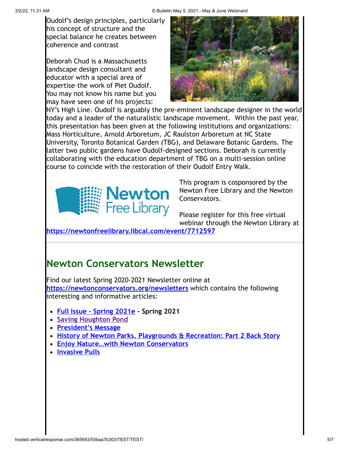Oudolf's design principles, particularly his concept of structure and the special balance he creates between coherence and contrast

Deborah Chud is a Massachusetts landscape design consultant and educator with a special area of expertise–the work of Piet Oudolf. You may not know his name but you may have seen one of his projects:



NY's High Line. Oudolf is arguably the pre-eminent landscape designer in the world today and a leader of the naturalistic landscape movement. Within the past year, this presentation has been given at the following institutions and organizations: Mass Horticulture, Arnold Arboretum, JC Raulston Arboretum at NC State University, Toronto Botanical Garden (TBG), and Delaware Botanic Gardens. The latter two public gardens have Oudolf-designed sections. Deborah is currently collaborating with the education department of TBG on a multi-session online course to coincide with the restoration of their Oudolf Entry Walk.



This program is cosponsored by the Newton Free Library and the Newton Conservators.

Please register for this free virtual webinar through the Newton Library at

**<https://newtonfreelibrary.libcal.com/event/7712597>**

## **Newton Conservators Newsletter**

Find our latest Spring 2020-2021 Newsletter online at **<https://newtonconservators.org/newsletters>** which contains the following interesting and informative articles:

- **[Full Issue Spring 2021e](https://newtonconservators.org/wp-content/uploads/2021/03/Newsletter-2021-Spring-.pdf)  Spring 2021**
- **[Saving Houghton Pond](https://newtonconservators.org/wp-content/uploads/2021/03/Newsletter-2021-Spring-Saving-Houghton-Pond.pdf)**
- **[President's Message](https://newtonconservators.org/wp-content/uploads/2021/03/Newsletter-2021-Spring-Presidents-Message.pdf)**
- **[History of Newton Parks, Playgrounds & Recreation: Part 2 Back Story](https://newtonconservators.org/wp-content/uploads/2021/03/Newsletter-2021-Spring-History-Newton-Parks-Part-2-1.pdf)**
- **[Enjoy Nature…with Newton Conservators](https://newtonconservators.org/wp-content/uploads/2021/03/Newsletter-2021-Spring-Enjoy-Nature-Webinars.pdf)**
- **[Invasive Pulls](https://newtonconservators.org/wp-content/uploads/2021/03/Newsletter-2021-Spring-Invasives.pdf)**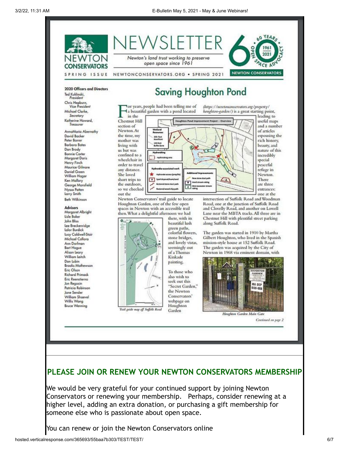

#### **PLEASE JOIN OR RENEW YOUR NEWTON CONSERVATORS MEMBERSHIP**

We would be very grateful for your continued support by joining Newton Conservators or renewing your membership. Perhaps, consider renewing at a higher level, adding an extra donation, or purchasing a gift membership for someone else who is passionate about open space.

You can renew or join the Newton Conservators online